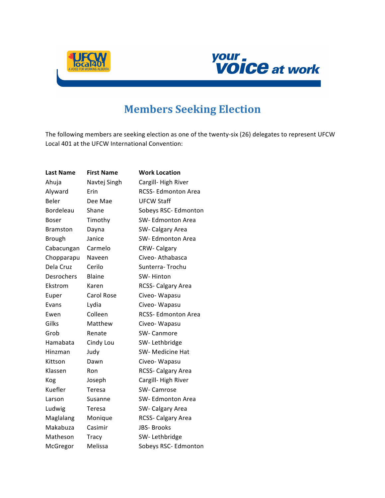



## **Members Seeking Election**

The following members are seeking election as one of the twenty-six (26) delegates to represent UFCW Local 401 at the UFCW International Convention:

| <b>Last Name</b> | <b>First Name</b> | <b>Work Location</b>      |
|------------------|-------------------|---------------------------|
| Ahuja            | Navtej Singh      | Cargill-High River        |
| Alyward          | Erin              | <b>RCSS-Edmonton Area</b> |
| Beler            | Dee Mae           | <b>UFCW Staff</b>         |
| Bordeleau        | Shane             | Sobeys RSC- Edmonton      |
| Boser            | Timothy           | SW- Edmonton Area         |
| <b>Bramston</b>  | Dayna             | SW- Calgary Area          |
| <b>Brough</b>    | Janice            | SW-Edmonton Area          |
| Cabacungan       | Carmelo           | <b>CRW-Calgary</b>        |
| Chopparapu       | Naveen            | Civeo-Athabasca           |
| Dela Cruz        | Cerilo            | Sunterra-Trochu           |
| Desrochers       | <b>Blaine</b>     | SW-Hinton                 |
| Ekstrom          | Karen             | <b>RCSS- Calgary Area</b> |
| Euper            | <b>Carol Rose</b> | Civeo-Wapasu              |
| Evans            | Lydia             | Civeo- Wapasu             |
| Ewen             | Colleen           | RCSS- Edmonton Area       |
| Gilks            | Matthew           | Civeo-Wapasu              |
| Grob             | Renate            | <b>SW-Canmore</b>         |
| Hamabata         | Cindy Lou         | SW-Lethbridge             |
| Hinzman          | Judy              | SW- Medicine Hat          |
| Kittson          | Dawn              | Civeo-Wapasu              |
| Klassen          | Ron               | RCSS- Calgary Area        |
| Kog              | Joseph            | Cargill-High River        |
| Kuefler          | Teresa            | SW- Camrose               |
| Larson           | Susanne           | SW-Edmonton Area          |
| Ludwig           | Teresa            | SW- Calgary Area          |
| Maglalang        | Monique           | RCSS- Calgary Area        |
| Makabuza         | Casimir           | <b>JBS-Brooks</b>         |
| Matheson         | <b>Tracy</b>      | SW-Lethbridge             |
| McGregor         | Melissa           | Sobeys RSC- Edmonton      |